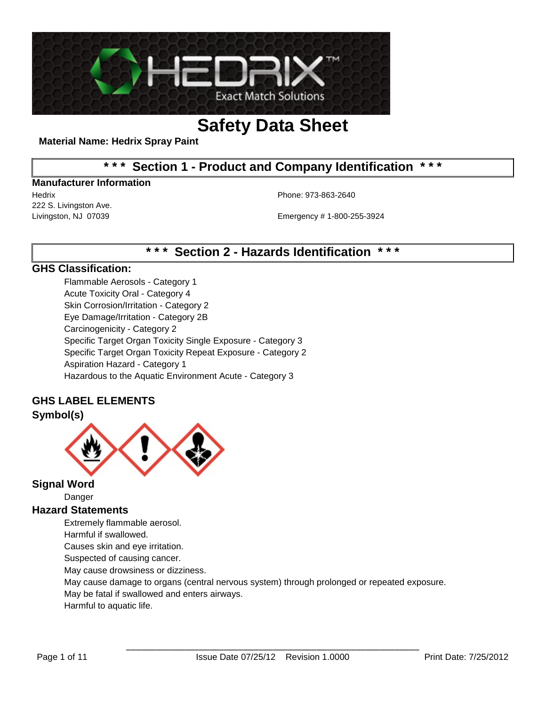

**Material Name: Hedrix Spray Paint**

# **\* \* \* Section 1 - Product and Company Identification \* \* \***

#### **Manufacturer Information**

Hedrix Phone: 973-863-2640 222 S. Livingston Ave.

Livingston, NJ 07039 Emergency # 1-800-255-3924

### **\* \* \* Section 2 - Hazards Identification \* \* \***

#### **GHS Classification:**

Flammable Aerosols - Category 1 Acute Toxicity Oral - Category 4 Skin Corrosion/Irritation - Category 2 Eye Damage/Irritation - Category 2B Carcinogenicity - Category 2 Specific Target Organ Toxicity Single Exposure - Category 3 Specific Target Organ Toxicity Repeat Exposure - Category 2 Aspiration Hazard - Category 1 Hazardous to the Aquatic Environment Acute - Category 3

# **GHS LABEL ELEMENTS**

### **Symbol(s)**



#### **Signal Word**

Danger

### **Hazard Statements**

Extremely flammable aerosol.

Harmful if swallowed.

Causes skin and eye irritation.

Suspected of causing cancer.

May cause drowsiness or dizziness.

May cause damage to organs (central nervous system) through prolonged or repeated exposure.

May be fatal if swallowed and enters airways.

Harmful to aquatic life.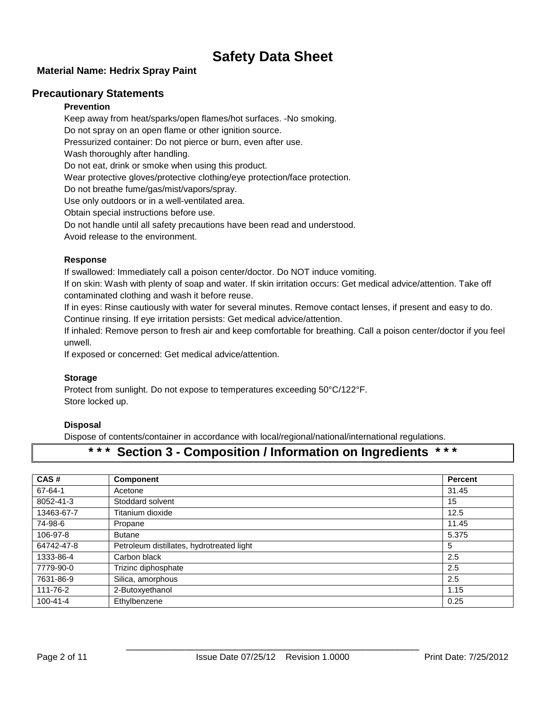#### **Material Name: Hedrix Spray Paint**

#### **Precautionary Statements**

#### **Prevention**

Keep away from heat/sparks/open flames/hot surfaces. -No smoking.

Do not spray on an open flame or other ignition source.

Pressurized container: Do not pierce or burn, even after use.

Wash thoroughly after handling.

Do not eat, drink or smoke when using this product.

Wear protective gloves/protective clothing/eye protection/face protection.

Do not breathe fume/gas/mist/vapors/spray.

Use only outdoors or in a well-ventilated area.

Obtain special instructions before use.

Do not handle until all safety precautions have been read and understood.

Avoid release to the environment.

#### **Response**

If swallowed: Immediately call a poison center/doctor. Do NOT induce vomiting.

If on skin: Wash with plenty of soap and water. If skin irritation occurs: Get medical advice/attention. Take off contaminated clothing and wash it before reuse.

If in eyes: Rinse cautiously with water for several minutes. Remove contact lenses, if present and easy to do. Continue rinsing. If eye irritation persists: Get medical advice/attention.

If inhaled: Remove person to fresh air and keep comfortable for breathing. Call a poison center/doctor if you feel unwell.

If exposed or concerned: Get medical advice/attention.

#### **Storage**

Protect from sunlight. Do not expose to temperatures exceeding 50°C/122°F. Store locked up.

#### **Disposal**

Dispose of contents/container in accordance with local/regional/national/international regulations.

### **\* \* \* Section 3 - Composition / Information on Ingredients \* \* \***

| CAS#       | <b>Component</b>                          | Percent |
|------------|-------------------------------------------|---------|
| 67-64-1    | Acetone                                   | 31.45   |
| 8052-41-3  | Stoddard solvent                          | 15      |
| 13463-67-7 | Titanium dioxide                          | 12.5    |
| 74-98-6    | Propane                                   | 11.45   |
| 106-97-8   | <b>Butane</b>                             | 5.375   |
| 64742-47-8 | Petroleum distillates, hydrotreated light | 5       |
| 1333-86-4  | Carbon black                              | 2.5     |
| 7779-90-0  | Trizinc diphosphate                       | 2.5     |
| 7631-86-9  | Silica, amorphous                         | 2.5     |
| 111-76-2   | 2-Butoxyethanol                           | 1.15    |
| 100-41-4   | Ethylbenzene                              | 0.25    |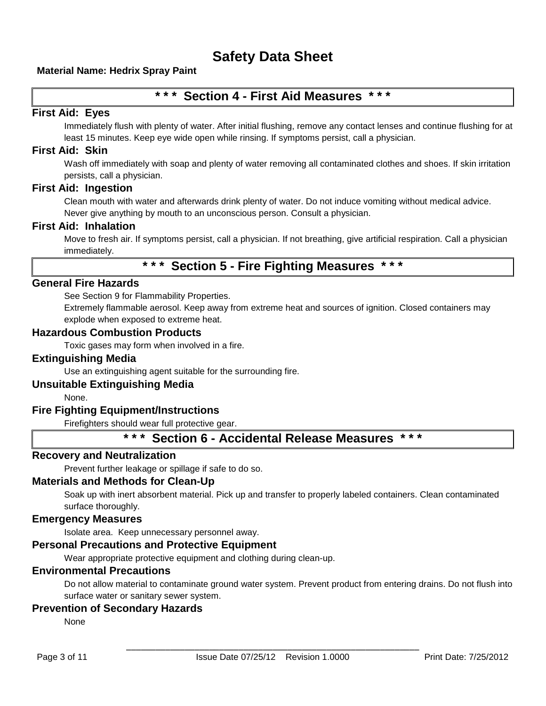#### **Material Name: Hedrix Spray Paint**

### **\* \* \* Section 4 - First Aid Measures \* \* \***

#### **First Aid: Eyes**

Immediately flush with plenty of water. After initial flushing, remove any contact lenses and continue flushing for at least 15 minutes. Keep eye wide open while rinsing. If symptoms persist, call a physician.

#### **First Aid: Skin**

Wash off immediately with soap and plenty of water removing all contaminated clothes and shoes. If skin irritation persists, call a physician.

#### **First Aid: Ingestion**

Clean mouth with water and afterwards drink plenty of water. Do not induce vomiting without medical advice. Never give anything by mouth to an unconscious person. Consult a physician.

#### **First Aid: Inhalation**

Move to fresh air. If symptoms persist, call a physician. If not breathing, give artificial respiration. Call a physician immediately.

# **\* \* \* Section 5 - Fire Fighting Measures \* \* \***

### **General Fire Hazards**

See Section 9 for Flammability Properties.

Extremely flammable aerosol. Keep away from extreme heat and sources of ignition. Closed containers may explode when exposed to extreme heat.

#### **Hazardous Combustion Products**

Toxic gases may form when involved in a fire.

#### **Extinguishing Media**

Use an extinguishing agent suitable for the surrounding fire.

#### **Unsuitable Extinguishing Media**

None.

#### **Fire Fighting Equipment/Instructions**

Firefighters should wear full protective gear.

**Section 6 - Accidental Release Measures** 

#### **Recovery and Neutralization**

Prevent further leakage or spillage if safe to do so.

#### **Materials and Methods for Clean-Up**

Soak up with inert absorbent material. Pick up and transfer to properly labeled containers. Clean contaminated surface thoroughly.

#### **Emergency Measures**

Isolate area. Keep unnecessary personnel away.

#### **Personal Precautions and Protective Equipment**

Wear appropriate protective equipment and clothing during clean-up.

#### **Environmental Precautions**

Do not allow material to contaminate ground water system. Prevent product from entering drains. Do not flush into surface water or sanitary sewer system.

#### **Prevention of Secondary Hazards**

None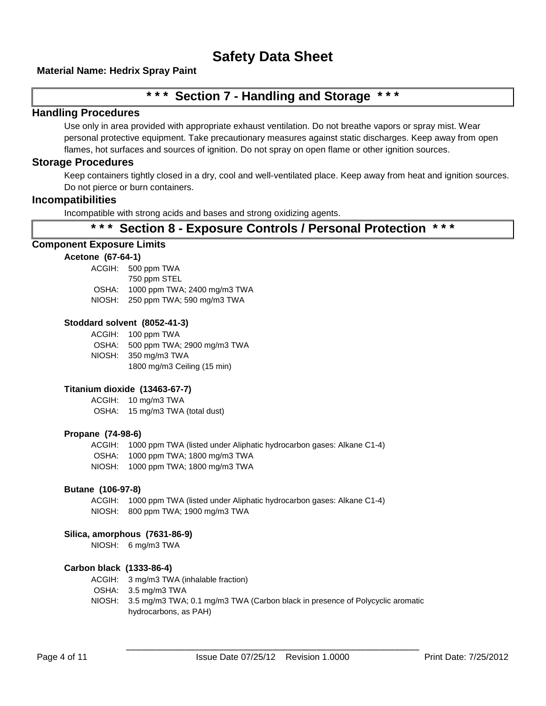#### **Material Name: Hedrix Spray Paint**

### **\* \* \* Section 7 - Handling and Storage \* \* \***

#### **Handling Procedures**

Use only in area provided with appropriate exhaust ventilation. Do not breathe vapors or spray mist. Wear personal protective equipment. Take precautionary measures against static discharges. Keep away from open flames, hot surfaces and sources of ignition. Do not spray on open flame or other ignition sources.

#### **Storage Procedures**

Keep containers tightly closed in a dry, cool and well-ventilated place. Keep away from heat and ignition sources. Do not pierce or burn containers.

#### **Incompatibilities**

Incompatible with strong acids and bases and strong oxidizing agents.

### **\* \* \* Section 8 - Exposure Controls / Personal Protection \* \* \***

#### **Component Exposure Limits**

#### **Acetone (67-64-1)**

ACGIH: 500 ppm TWA 750 ppm STEL OSHA: 1000 ppm TWA; 2400 mg/m3 TWA NIOSH: 250 ppm TWA; 590 mg/m3 TWA

#### **Stoddard solvent (8052-41-3)**

ACGIH: 100 ppm TWA OSHA: 500 ppm TWA; 2900 mg/m3 TWA NIOSH: 350 mg/m3 TWA 1800 mg/m3 Ceiling (15 min)

#### **Titanium dioxide (13463-67-7)**

ACGIH: 10 mg/m3 TWA OSHA: 15 mg/m3 TWA (total dust)

#### **Propane (74-98-6)**

ACGIH: 1000 ppm TWA (listed under Aliphatic hydrocarbon gases: Alkane C1-4) OSHA: 1000 ppm TWA; 1800 mg/m3 TWA NIOSH: 1000 ppm TWA; 1800 mg/m3 TWA

#### **Butane (106-97-8)**

ACGIH: 1000 ppm TWA (listed under Aliphatic hydrocarbon gases: Alkane C1-4) NIOSH: 800 ppm TWA; 1900 mg/m3 TWA

#### **Silica, amorphous (7631-86-9)**

NIOSH: 6 mg/m3 TWA

#### **Carbon black (1333-86-4)**

- ACGIH: 3 mg/m3 TWA (inhalable fraction)
- OSHA: 3.5 mg/m3 TWA
- NIOSH: 3.5 mg/m3 TWA; 0.1 mg/m3 TWA (Carbon black in presence of Polycyclic aromatic hydrocarbons, as PAH)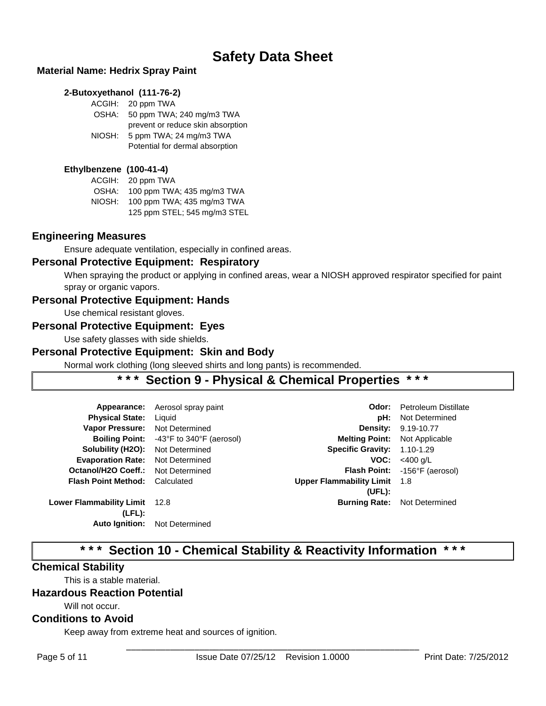#### **Material Name: Hedrix Spray Paint**

#### **2-Butoxyethanol (111-76-2)**

| ACGIH: | 20 ppm TWA                        |
|--------|-----------------------------------|
| OSHA:  | 50 ppm TWA; 240 mg/m3 TWA         |
|        | prevent or reduce skin absorption |
| NIOSH: | 5 ppm TWA; 24 mg/m3 TWA           |
|        | Potential for dermal absorption   |

#### **Ethylbenzene (100-41-4)**

| ACGIH: | 20 ppm TWA                   |
|--------|------------------------------|
| OSHA:  | 100 ppm TWA; 435 mg/m3 TWA   |
| NIOSH: | 100 ppm TWA; 435 mg/m3 TWA   |
|        | 125 ppm STEL; 545 mg/m3 STEL |

#### **Engineering Measures**

Ensure adequate ventilation, especially in confined areas.

#### **Personal Protective Equipment: Respiratory**

When spraying the product or applying in confined areas, wear a NIOSH approved respirator specified for paint spray or organic vapors.

#### **Personal Protective Equipment: Hands**

Use chemical resistant gloves.

#### **Personal Protective Equipment: Eyes**

Use safety glasses with side shields.

#### **Personal Protective Equipment: Skin and Body**

Normal work clothing (long sleeved shirts and long pants) is recommended.

### **\* \* \* Section 9 - Physical & Chemical Properties \* \* \***

|                                                |                                 | <b>Petroleum Distillate</b> |
|------------------------------------------------|---------------------------------|-----------------------------|
|                                                |                                 |                             |
| Liquid                                         | pH:                             | Not Determined              |
| Not Determined                                 | <b>Density:</b>                 | 9.19-10.77                  |
| <b>Boiling Point:</b> -43°F to 340°F (aerosol) | <b>Melting Point:</b>           | Not Applicable              |
| Not Determined                                 | <b>Specific Gravity:</b>        | 1.10-1.29                   |
| Not Determined                                 | VOC:                            | $<$ 400 g/L                 |
| Not Determined                                 | <b>Flash Point:</b>             | -156°F (aerosol)            |
| Calculated                                     | <b>Upper Flammability Limit</b> | 1.8                         |
|                                                | (UEL):                          |                             |
| - 12.8                                         | <b>Burning Rate:</b>            | Not Determined              |
|                                                |                                 |                             |
| Not Determined                                 |                                 |                             |
|                                                | Aerosol spray paint             | Odor:                       |

### **\* \* \* Section 10 - Chemical Stability & Reactivity Information \* \* \***

#### **Chemical Stability**

This is a stable material.

#### **Hazardous Reaction Potential**

Will not occur.

#### **Conditions to Avoid**

Keep away from extreme heat and sources of ignition.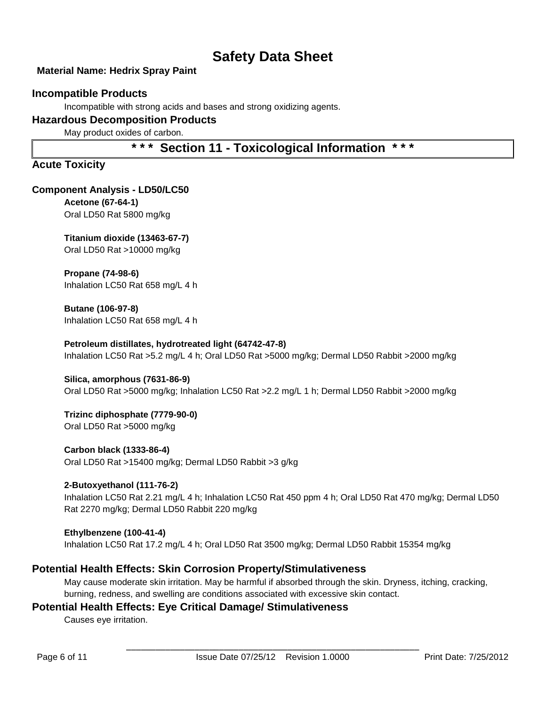#### **Material Name: Hedrix Spray Paint**

#### **Incompatible Products**

Incompatible with strong acids and bases and strong oxidizing agents.

#### **Hazardous Decomposition Products**

May product oxides of carbon.

**\* \* \* Section 11 - Toxicological Information \* \* \***

#### **Acute Toxicity**

#### **Component Analysis - LD50/LC50**

**Acetone (67-64-1)** Oral LD50 Rat 5800 mg/kg

**Titanium dioxide (13463-67-7)** Oral LD50 Rat >10000 mg/kg

**Propane (74-98-6)** Inhalation LC50 Rat 658 mg/L 4 h

**Butane (106-97-8)** Inhalation LC50 Rat 658 mg/L 4 h

#### **Petroleum distillates, hydrotreated light (64742-47-8)**

Inhalation LC50 Rat >5.2 mg/L 4 h; Oral LD50 Rat >5000 mg/kg; Dermal LD50 Rabbit >2000 mg/kg

#### **Silica, amorphous (7631-86-9)**

Oral LD50 Rat >5000 mg/kg; Inhalation LC50 Rat >2.2 mg/L 1 h; Dermal LD50 Rabbit >2000 mg/kg

### **Trizinc diphosphate (7779-90-0)**

Oral LD50 Rat >5000 mg/kg

#### **Carbon black (1333-86-4)**

Oral LD50 Rat >15400 mg/kg; Dermal LD50 Rabbit >3 g/kg

#### **2-Butoxyethanol (111-76-2)**

Inhalation LC50 Rat 2.21 mg/L 4 h; Inhalation LC50 Rat 450 ppm 4 h; Oral LD50 Rat 470 mg/kg; Dermal LD50 Rat 2270 mg/kg; Dermal LD50 Rabbit 220 mg/kg

#### **Ethylbenzene (100-41-4)**

Inhalation LC50 Rat 17.2 mg/L 4 h; Oral LD50 Rat 3500 mg/kg; Dermal LD50 Rabbit 15354 mg/kg

#### **Potential Health Effects: Skin Corrosion Property/Stimulativeness**

May cause moderate skin irritation. May be harmful if absorbed through the skin. Dryness, itching, cracking, burning, redness, and swelling are conditions associated with excessive skin contact.

#### **Potential Health Effects: Eye Critical Damage/ Stimulativeness**

Causes eye irritation.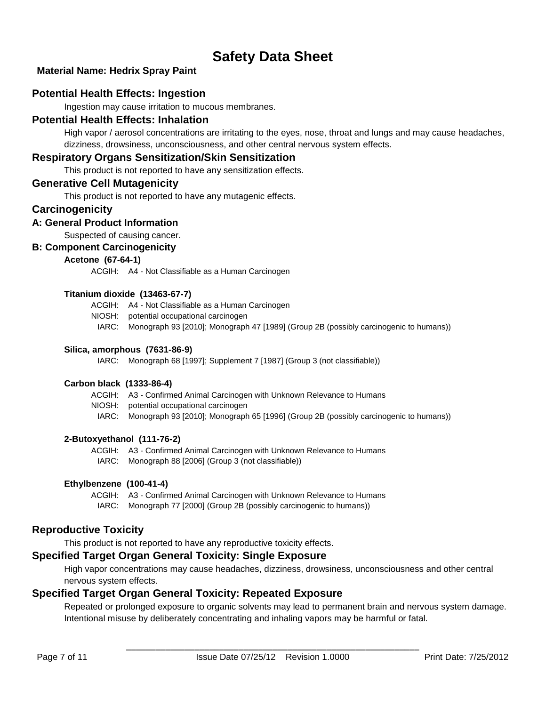#### **Material Name: Hedrix Spray Paint**

#### **Potential Health Effects: Ingestion**

Ingestion may cause irritation to mucous membranes.

#### **Potential Health Effects: Inhalation**

High vapor / aerosol concentrations are irritating to the eyes, nose, throat and lungs and may cause headaches, dizziness, drowsiness, unconsciousness, and other central nervous system effects.

#### **Respiratory Organs Sensitization/Skin Sensitization**

This product is not reported to have any sensitization effects.

#### **Generative Cell Mutagenicity**

This product is not reported to have any mutagenic effects.

#### **Carcinogenicity**

#### **A: General Product Information**

Suspected of causing cancer.

**B: Component Carcinogenicity**

#### **Acetone (67-64-1)**

ACGIH: A4 - Not Classifiable as a Human Carcinogen

#### **Titanium dioxide (13463-67-7)**

ACGIH: A4 - Not Classifiable as a Human Carcinogen

- NIOSH: potential occupational carcinogen
- IARC: Monograph 93 [2010]; Monograph 47 [1989] (Group 2B (possibly carcinogenic to humans))

#### **Silica, amorphous (7631-86-9)**

IARC: Monograph 68 [1997]; Supplement 7 [1987] (Group 3 (not classifiable))

#### **Carbon black (1333-86-4)**

ACGIH: A3 - Confirmed Animal Carcinogen with Unknown Relevance to Humans NIOSH: potential occupational carcinogen

IARC: Monograph 93 [2010]; Monograph 65 [1996] (Group 2B (possibly carcinogenic to humans))

#### **2-Butoxyethanol (111-76-2)**

ACGIH: A3 - Confirmed Animal Carcinogen with Unknown Relevance to Humans IARC: Monograph 88 [2006] (Group 3 (not classifiable))

#### **Ethylbenzene (100-41-4)**

ACGIH: A3 - Confirmed Animal Carcinogen with Unknown Relevance to Humans IARC: Monograph 77 [2000] (Group 2B (possibly carcinogenic to humans))

#### **Reproductive Toxicity**

This product is not reported to have any reproductive toxicity effects.

#### **Specified Target Organ General Toxicity: Single Exposure**

High vapor concentrations may cause headaches, dizziness, drowsiness, unconsciousness and other central nervous system effects.

#### **Specified Target Organ General Toxicity: Repeated Exposure**

Repeated or prolonged exposure to organic solvents may lead to permanent brain and nervous system damage. Intentional misuse by deliberately concentrating and inhaling vapors may be harmful or fatal.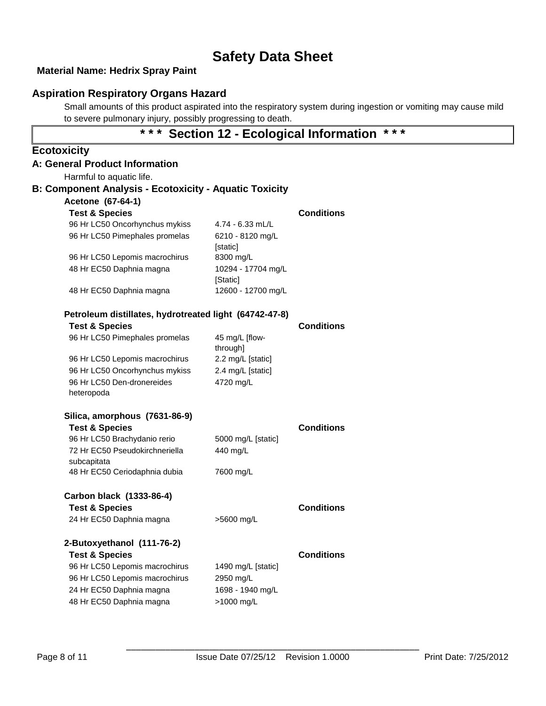### **Material Name: Hedrix Spray Paint**

### **Aspiration Respiratory Organs Hazard**

Small amounts of this product aspirated into the respiratory system during ingestion or vomiting may cause mild to severe pulmonary injury, possibly progressing to death.

# **\* \* \* Section 12 - Ecological Information \* \* \***

### **Ecotoxicity**

| A: General Product Information                                                      |                                |                   |
|-------------------------------------------------------------------------------------|--------------------------------|-------------------|
| Harmful to aquatic life.                                                            |                                |                   |
| <b>B: Component Analysis - Ecotoxicity - Aquatic Toxicity</b>                       |                                |                   |
| Acetone (67-64-1)                                                                   |                                |                   |
| <b>Test &amp; Species</b>                                                           |                                | <b>Conditions</b> |
| 96 Hr LC50 Oncorhynchus mykiss                                                      | 4.74 - 6.33 mL/L               |                   |
| 96 Hr LC50 Pimephales promelas                                                      | 6210 - 8120 mg/L<br>[static]   |                   |
| 96 Hr LC50 Lepomis macrochirus                                                      | 8300 mg/L                      |                   |
| 48 Hr EC50 Daphnia magna                                                            | 10294 - 17704 mg/L<br>[Static] |                   |
| 48 Hr EC50 Daphnia magna                                                            | 12600 - 12700 mg/L             |                   |
| Petroleum distillates, hydrotreated light (64742-47-8)<br><b>Test &amp; Species</b> |                                | <b>Conditions</b> |
| 96 Hr LC50 Pimephales promelas                                                      | 45 mg/L [flow-                 |                   |
|                                                                                     | through]                       |                   |
| 96 Hr LC50 Lepomis macrochirus                                                      | 2.2 mg/L [static]              |                   |
| 96 Hr LC50 Oncorhynchus mykiss                                                      | 2.4 mg/L [static]              |                   |
| 96 Hr LC50 Den-dronereides                                                          | 4720 mg/L                      |                   |
| heteropoda                                                                          |                                |                   |
| Silica, amorphous (7631-86-9)                                                       |                                |                   |
| <b>Test &amp; Species</b>                                                           |                                | <b>Conditions</b> |
| 96 Hr LC50 Brachydanio rerio                                                        | 5000 mg/L [static]             |                   |
| 72 Hr EC50 Pseudokirchneriella                                                      | 440 mg/L                       |                   |
| subcapitata<br>48 Hr EC50 Ceriodaphnia dubia                                        | 7600 mg/L                      |                   |
| Carbon black (1333-86-4)                                                            |                                |                   |
| <b>Test &amp; Species</b>                                                           |                                | <b>Conditions</b> |
| 24 Hr EC50 Daphnia magna                                                            | >5600 mg/L                     |                   |
| 2-Butoxyethanol (111-76-2)                                                          |                                |                   |
| <b>Test &amp; Species</b>                                                           |                                | <b>Conditions</b> |
| 96 Hr LC50 Lepomis macrochirus                                                      | 1490 mg/L [static]             |                   |
| 96 Hr LC50 Lepomis macrochirus                                                      | 2950 mg/L                      |                   |
| 24 Hr EC50 Daphnia magna                                                            | 1698 - 1940 mg/L               |                   |
| 48 Hr EC50 Daphnia magna                                                            | >1000 mg/L                     |                   |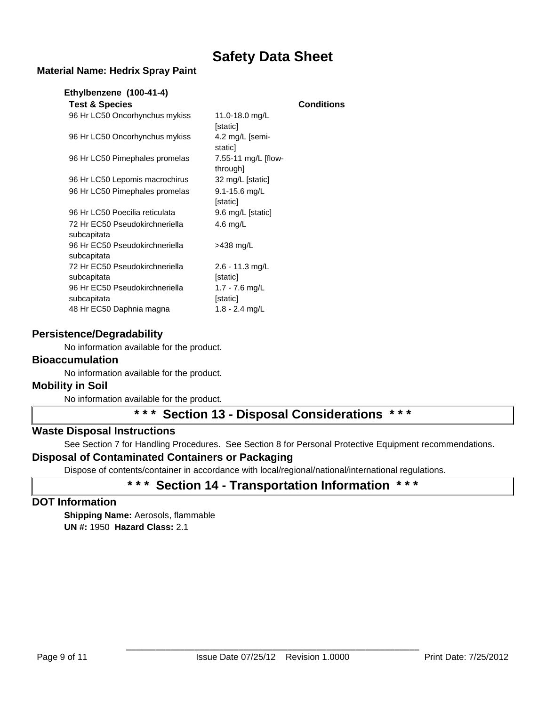#### **Material Name: Hedrix Spray Paint**

### **Ethylbenzene (100-41-4)**

| <b>Test &amp; Species</b>                     |                                 | <b>Conditions</b> |
|-----------------------------------------------|---------------------------------|-------------------|
| 96 Hr LC50 Oncorhynchus mykiss                | 11.0-18.0 mg/L<br>[static]      |                   |
| 96 Hr LC50 Oncorhynchus mykiss                | 4.2 mg/L [semi-<br>staticl      |                   |
| 96 Hr LC50 Pimephales promelas                | 7.55-11 mg/L [flow-<br>through] |                   |
| 96 Hr LC50 Lepomis macrochirus                | 32 mg/L [static]                |                   |
| 96 Hr LC50 Pimephales promelas                | $9.1 - 15.6$ mg/L<br>[static]   |                   |
| 96 Hr LC50 Poecilia reticulata                | 9.6 mg/L [static]               |                   |
| 72 Hr EC50 Pseudokirchneriella<br>subcapitata | 4.6 mg/L                        |                   |
| 96 Hr EC50 Pseudokirchneriella<br>subcapitata | >438 mg/L                       |                   |
| 72 Hr EC50 Pseudokirchneriella                | $2.6 - 11.3$ mg/L               |                   |
| subcapitata                                   | [static]                        |                   |
| 96 Hr EC50 Pseudokirchneriella                | 1.7 - 7.6 mg/L                  |                   |
| subcapitata                                   | [static]                        |                   |
| 48 Hr EC50 Daphnia magna                      | $1.8 - 2.4$ mg/L                |                   |

#### **Persistence/Degradability**

No information available for the product.

#### **Bioaccumulation**

No information available for the product.

#### **Mobility in Soil**

No information available for the product.

### **\* \* \* Section 13 - Disposal Considerations \* \* \***

#### **Waste Disposal Instructions**

See Section 7 for Handling Procedures. See Section 8 for Personal Protective Equipment recommendations.

#### **Disposal of Contaminated Containers or Packaging**

Dispose of contents/container in accordance with local/regional/national/international regulations.

### **\* \* \* Section 14 - Transportation Information \* \* \***

#### **DOT Information**

**Shipping Name:** Aerosols, flammable **UN #:** 1950 **Hazard Class:** 2.1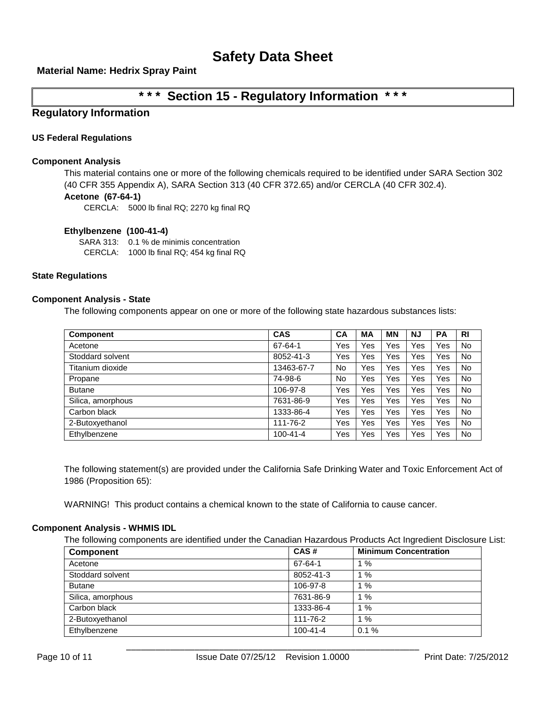**Material Name: Hedrix Spray Paint**

# **\* \* \* Section 15 - Regulatory Information \* \* \***

#### **Regulatory Information**

#### **US Federal Regulations**

#### **Component Analysis**

This material contains one or more of the following chemicals required to be identified under SARA Section 302 (40 CFR 355 Appendix A), SARA Section 313 (40 CFR 372.65) and/or CERCLA (40 CFR 302.4).

#### **Acetone (67-64-1)**

CERCLA: 5000 lb final RQ; 2270 kg final RQ

#### **Ethylbenzene (100-41-4)**

SARA 313: 0.1 % de minimis concentration CERCLA: 1000 lb final RQ; 454 kg final RQ

#### **State Regulations**

#### **Component Analysis - State**

The following components appear on one or more of the following state hazardous substances lists:

| <b>Component</b>  | <b>CAS</b>     | CA  | <b>MA</b> | ΜN  | ΝJ  | <b>PA</b> | <b>RI</b> |
|-------------------|----------------|-----|-----------|-----|-----|-----------|-----------|
| Acetone           | 67-64-1        | Yes | Yes       | Yes | Yes | Yes       | No.       |
| Stoddard solvent  | 8052-41-3      | Yes | Yes       | Yes | Yes | Yes       | No.       |
| Titanium dioxide  | 13463-67-7     | No  | Yes       | Yes | Yes | Yes       | No.       |
| Propane           | 74-98-6        | No  | Yes       | Yes | Yes | Yes       | No.       |
| <b>Butane</b>     | 106-97-8       | Yes | Yes       | Yes | Yes | Yes       | No.       |
| Silica, amorphous | 7631-86-9      | Yes | Yes       | Yes | Yes | Yes       | No.       |
| Carbon black      | 1333-86-4      | Yes | Yes       | Yes | Yes | Yes       | No.       |
| 2-Butoxyethanol   | 111-76-2       | Yes | Yes       | Yes | Yes | Yes       | No.       |
| Ethylbenzene      | $100 - 41 - 4$ | Yes | Yes       | Yes | Yes | Yes       | No        |

The following statement(s) are provided under the California Safe Drinking Water and Toxic Enforcement Act of 1986 (Proposition 65):

WARNING! This product contains a chemical known to the state of California to cause cancer.

#### **Component Analysis - WHMIS IDL**

The following components are identified under the Canadian Hazardous Products Act Ingredient Disclosure List:

| <b>Component</b>  | CAS#           | <b>Minimum Concentration</b> |
|-------------------|----------------|------------------------------|
| Acetone           | 67-64-1        | 1%                           |
| Stoddard solvent  | 8052-41-3      | 1%                           |
| <b>Butane</b>     | 106-97-8       | 1%                           |
| Silica, amorphous | 7631-86-9      | 1%                           |
| Carbon black      | 1333-86-4      | 1%                           |
| 2-Butoxyethanol   | 111-76-2       | 1%                           |
| Ethylbenzene      | $100 - 41 - 4$ | 0.1%                         |